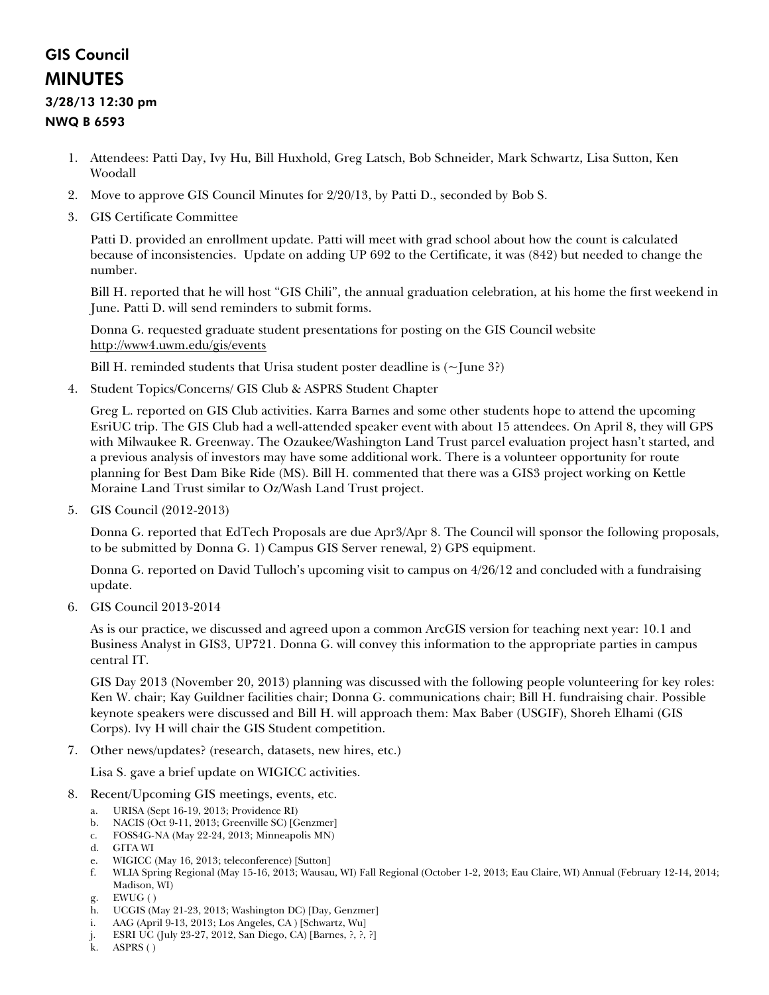## GIS Council MINUTES

## 3/28/13 12:30 pm

## NWQ B 6593

- 1. Attendees: Patti Day, Ivy Hu, Bill Huxhold, Greg Latsch, Bob Schneider, Mark Schwartz, Lisa Sutton, Ken Woodall
- 2. Move to approve GIS Council Minutes for 2/20/13, by Patti D., seconded by Bob S.
- 3. GIS Certificate Committee

Patti D. provided an enrollment update. Patti will meet with grad school about how the count is calculated because of inconsistencies. Update on adding UP 692 to the Certificate, it was (842) but needed to change the number.

Bill H. reported that he will host "GIS Chili", the annual graduation celebration, at his home the first weekend in June. Patti D. will send reminders to submit forms.

Donna G. requested graduate student presentations for posting on the GIS Council website <http://www4.uwm.edu/gis/events>

Bill H. reminded students that Urisa student poster deadline is  $(\sim$  June 3?)

4. Student Topics/Concerns/ GIS Club & ASPRS Student Chapter

Greg L. reported on GIS Club activities. Karra Barnes and some other students hope to attend the upcoming EsriUC trip. The GIS Club had a well-attended speaker event with about 15 attendees. On April 8, they will GPS with Milwaukee R. Greenway. The Ozaukee/Washington Land Trust parcel evaluation project hasn't started, and a previous analysis of investors may have some additional work. There is a volunteer opportunity for route planning for Best Dam Bike Ride (MS). Bill H. commented that there was a GIS3 project working on Kettle Moraine Land Trust similar to Oz/Wash Land Trust project.

5. GIS Council (2012-2013)

Donna G. reported that EdTech Proposals are due Apr3/Apr 8. The Council will sponsor the following proposals, to be submitted by Donna G. 1) Campus GIS Server renewal, 2) GPS equipment.

Donna G. reported on David Tulloch's upcoming visit to campus on 4/26/12 and concluded with a fundraising update.

6. GIS Council 2013-2014

As is our practice, we discussed and agreed upon a common ArcGIS version for teaching next year: 10.1 and Business Analyst in GIS3, UP721. Donna G. will convey this information to the appropriate parties in campus central IT.

GIS Day 2013 (November 20, 2013) planning was discussed with the following people volunteering for key roles: Ken W. chair; Kay Guildner facilities chair; Donna G. communications chair; Bill H. fundraising chair. Possible keynote speakers were discussed and Bill H. will approach them: Max Baber (USGIF), Shoreh Elhami (GIS Corps). Ivy H will chair the GIS Student competition.

7. Other news/updates? (research, datasets, new hires, etc.)

Lisa S. gave a brief update on WIGICC activities.

- 8. Recent/Upcoming GIS meetings, events, etc.
	- a. URISA (Sept 16-19, 2013; Providence RI)
	- b. NACIS (Oct 9-11, 2013; Greenville SC) [Genzmer]
	- c. FOSS4G-NA (May 22-24, 2013; Minneapolis MN)
	- d. GITA WI
	- e. WIGICC (May 16, 2013; teleconference) [Sutton]
	- f. WLIA Spring Regional (May 15-16, 2013; Wausau, WI) Fall Regional (October 1-2, 2013; Eau Claire, WI) Annual (February 12-14, 2014; Madison, WI)
	- g. EWUG ( )
	- h. UCGIS (May 21-23, 2013; Washington DC) [Day, Genzmer]
	- i. AAG (April 9-13, 2013; Los Angeles, CA ) [Schwartz, Wu]
	- j. ESRI UC (July 23-27, 2012, San Diego, CA) [Barnes, ?, ?, ?]
	- k. ASPRS ( )